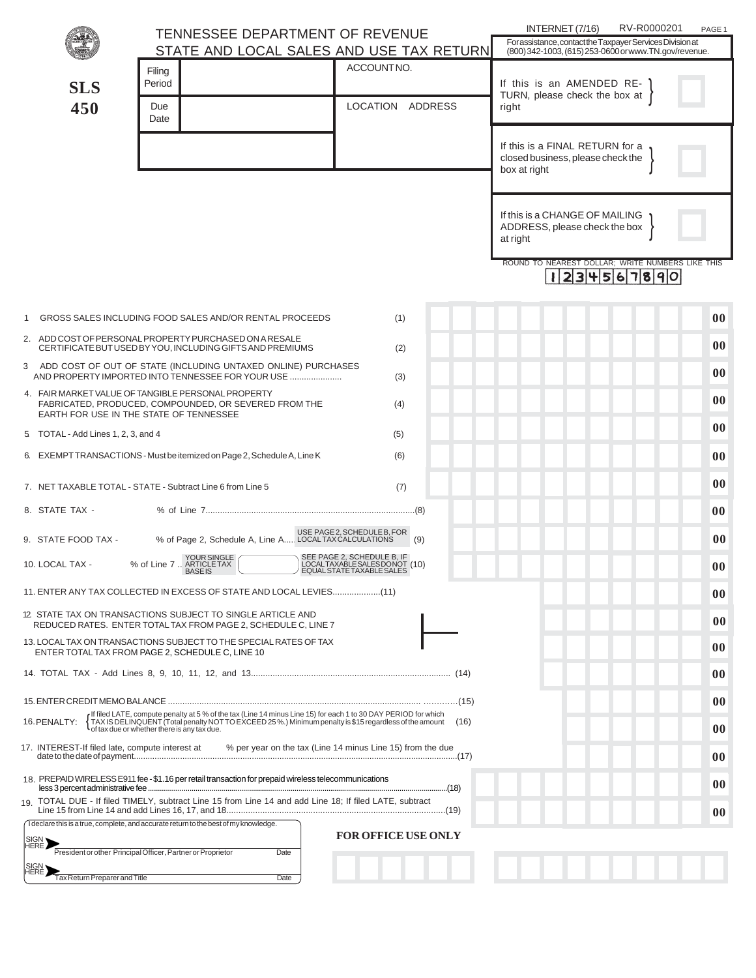|                                                                                                                                                                                                                                                                                                | <b>TENNESSEE DEPARTMENT OF REVENUE</b>                                                                                                                      |                                                                                         | INTERNET (7/16)<br>RV-R0000201<br>PAGE 1                                                                           |  |
|------------------------------------------------------------------------------------------------------------------------------------------------------------------------------------------------------------------------------------------------------------------------------------------------|-------------------------------------------------------------------------------------------------------------------------------------------------------------|-----------------------------------------------------------------------------------------|--------------------------------------------------------------------------------------------------------------------|--|
|                                                                                                                                                                                                                                                                                                |                                                                                                                                                             | STATE AND LOCAL SALES AND USE TAX RETURN                                                | For assistance, contact the Taxpayer Services Division at<br>(800) 342-1003, (615) 253-0600 or www.TN.gov/revenue. |  |
| <b>SLS</b>                                                                                                                                                                                                                                                                                     | Filing<br>Period                                                                                                                                            | ACCOUNTNO.                                                                              | If this is an AMENDED RE-<br>TURN, please check the box at                                                         |  |
| 450                                                                                                                                                                                                                                                                                            | Due<br>Date                                                                                                                                                 | LOCATION ADDRESS                                                                        | right                                                                                                              |  |
|                                                                                                                                                                                                                                                                                                |                                                                                                                                                             |                                                                                         | If this is a FINAL RETURN for a<br>closed business, please check the<br>box at right                               |  |
|                                                                                                                                                                                                                                                                                                |                                                                                                                                                             |                                                                                         |                                                                                                                    |  |
|                                                                                                                                                                                                                                                                                                |                                                                                                                                                             |                                                                                         | If this is a CHANGE OF MAILING<br>ADDRESS, please check the box<br>at right                                        |  |
|                                                                                                                                                                                                                                                                                                |                                                                                                                                                             |                                                                                         | ROUND TO NEAREST DOLLAR; WRITE NUMBERS LIKE THIS<br>$ 23 $ 4567890                                                 |  |
|                                                                                                                                                                                                                                                                                                | GROSS SALES INCLUDING FOOD SALES AND/OR RENTAL PROCEEDS                                                                                                     | (1)                                                                                     | $00\,$                                                                                                             |  |
|                                                                                                                                                                                                                                                                                                | 2. ADD COST OF PERSONAL PROPERTY PURCHASED ON A RESALE<br>CERTIFICATE BUT USED BY YOU, INCLUDING GIFTS AND PREMIUMS                                         | (2)                                                                                     | $00\,$                                                                                                             |  |
| 3 ADD COST OF OUT OF STATE (INCLUDING UNTAXED ONLINE) PURCHASES<br>AND PROPERTY IMPORTED INTO TENNESSEE FOR YOUR USE<br>(3)                                                                                                                                                                    |                                                                                                                                                             |                                                                                         |                                                                                                                    |  |
|                                                                                                                                                                                                                                                                                                | 4. FAIR MARKET VALUE OF TANGIBLE PERSONAL PROPERTY<br>FABRICATED, PRODUCED, COMPOUNDED, OR SEVERED FROM THE<br>EARTH FOR USE IN THE STATE OF TENNESSEE      | (4)                                                                                     | 00                                                                                                                 |  |
| 5 TOTAL - Add Lines 1, 2, 3, and 4                                                                                                                                                                                                                                                             |                                                                                                                                                             | 00                                                                                      |                                                                                                                    |  |
|                                                                                                                                                                                                                                                                                                | 6. EXEMPT TRANSACTIONS - Must be itemized on Page 2, Schedule A, Line K                                                                                     | (6)                                                                                     | 00                                                                                                                 |  |
|                                                                                                                                                                                                                                                                                                | 7. NET TAXABLE TOTAL - STATE - Subtract Line 6 from Line 5                                                                                                  | (7)                                                                                     | 00                                                                                                                 |  |
| 8. STATE TAX -                                                                                                                                                                                                                                                                                 |                                                                                                                                                             |                                                                                         | 00                                                                                                                 |  |
| 9. STATE FOOD TAX -                                                                                                                                                                                                                                                                            | USE PAGE2, SCHEDULE B, FOR<br>LOCAL TAX CALCULATIONS 100 % of Page 2, Schedule A, Line A LOCAL TAX CALCULATIONS                                             | (9)                                                                                     | $00\,$                                                                                                             |  |
| 10. LOCAL TAX -                                                                                                                                                                                                                                                                                | % of Line 7  ARTICLE TAX<br><b>BASEIS</b>                                                                                                                   | SEE PAGE 2, SCHEDULE B, IF<br>LOCALTAXABLE SALESDONOT (10)<br>EQUAL STATE TAXABLE SALES | 00                                                                                                                 |  |
| 11) ENTER ANY TAX COLLECTED IN EXCESS OF STATE AND LOCAL LEVIES(11)                                                                                                                                                                                                                            |                                                                                                                                                             |                                                                                         |                                                                                                                    |  |
| 12 STATE TAX ON TRANSACTIONS SUBJECT TO SINGLE ARTICLE AND<br>REDUCED RATES. ENTER TOTAL TAX FROM PAGE 2, SCHEDULE C, LINE 7                                                                                                                                                                   |                                                                                                                                                             |                                                                                         |                                                                                                                    |  |
| 13. LOCAL TAX ON TRANSACTIONS SUBJECT TO THE SPECIAL RATES OF TAX<br>ENTER TOTAL TAX FROM PAGE 2, SCHEDULE C, LINE 10                                                                                                                                                                          |                                                                                                                                                             |                                                                                         |                                                                                                                    |  |
|                                                                                                                                                                                                                                                                                                |                                                                                                                                                             |                                                                                         | 00                                                                                                                 |  |
|                                                                                                                                                                                                                                                                                                |                                                                                                                                                             |                                                                                         |                                                                                                                    |  |
| If filed LATE, compute penalty at 5 % of the tax (Line 14 minus Line 15) for each 1 to 30 DAY PERIOD for which<br>TAX IS DELINQUENT (Total penalty NOT TO EXCEED 25%.) Minimum penalty is \$15 regardless of the amount<br>16. PENALTY:<br>(16)<br>of tax due or whether there is any tax due. |                                                                                                                                                             |                                                                                         |                                                                                                                    |  |
| 17. INTEREST-If filed late, compute interest at<br>% per year on the tax (Line 14 minus Line 15) from the due                                                                                                                                                                                  |                                                                                                                                                             |                                                                                         |                                                                                                                    |  |
| 18. PREPAID WIRELESS E911 fee - \$1.16 per retail transaction for prepaid wireless telecommunications                                                                                                                                                                                          |                                                                                                                                                             |                                                                                         |                                                                                                                    |  |
|                                                                                                                                                                                                                                                                                                | 19. TOTAL DUE - If filed TIMELY, subtract Line 15 from Line 14 and add Line 18; If filed LATE, subtract                                                     |                                                                                         | $00\,$                                                                                                             |  |
| SIGN <sub>2</sub>                                                                                                                                                                                                                                                                              | I declare this is a true, complete, and accurate return to the best of my knowledge.<br>President or other Principal Officer, Partner or Proprietor<br>Date | <b>FOR OFFICE USE ONLY</b>                                                              |                                                                                                                    |  |
| SIGN <sub>2</sub><br>Tax Return Preparer and Title                                                                                                                                                                                                                                             | Date                                                                                                                                                        |                                                                                         |                                                                                                                    |  |